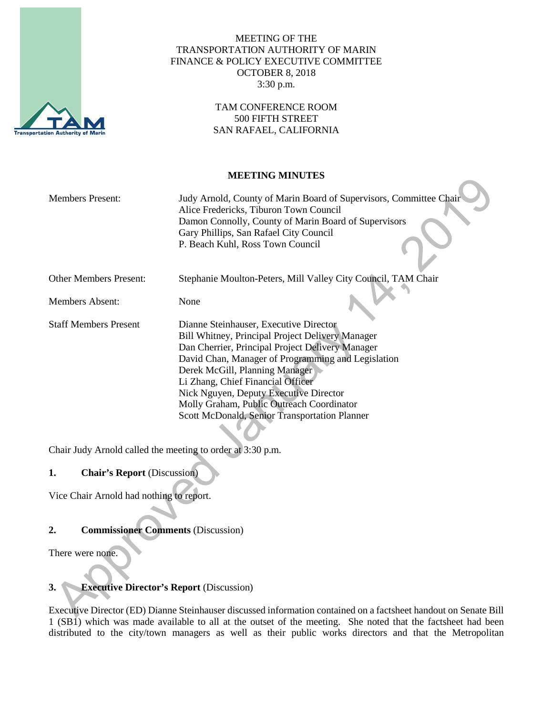

# MEETING OF THE TRANSPORTATION AUTHORITY OF MARIN FINANCE & POLICY EXECUTIVE COMMITTEE OCTOBER 8, 2018 3:30 p.m.

## TAM CONFERENCE ROOM 500 FIFTH STREET SAN RAFAEL, CALIFORNIA

## **MEETING MINUTES**

| <b>Members Present:</b>       | Judy Arnold, County of Marin Board of Supervisors, Committee Chair<br>Alice Fredericks, Tiburon Town Council                       |
|-------------------------------|------------------------------------------------------------------------------------------------------------------------------------|
|                               | Damon Connolly, County of Marin Board of Supervisors<br>Gary Phillips, San Rafael City Council<br>P. Beach Kuhl, Ross Town Council |
|                               |                                                                                                                                    |
| <b>Other Members Present:</b> | Stephanie Moulton-Peters, Mill Valley City Council, TAM Chair                                                                      |
| <b>Members Absent:</b>        | None                                                                                                                               |
| <b>Staff Members Present</b>  | Dianne Steinhauser, Executive Director                                                                                             |
|                               | <b>Bill Whitney, Principal Project Delivery Manager</b>                                                                            |
|                               | Dan Cherrier, Principal Project Delivery Manager                                                                                   |
|                               | David Chan, Manager of Programming and Legislation                                                                                 |
|                               | Derek McGill, Planning Manager                                                                                                     |
|                               | Li Zhang, Chief Financial Officer                                                                                                  |
|                               | Nick Nguyen, Deputy Executive Director                                                                                             |
|                               | Molly Graham, Public Outreach Coordinator                                                                                          |
|                               | <b>Scott McDonald, Senior Transportation Planner</b>                                                                               |
|                               |                                                                                                                                    |

Chair Judy Arnold called the meeting to order at 3:30 p.m.

# **1. Chair's Report** (Discussion)

Vice Chair Arnold had nothing to report.

# **2. Commissioner Comments** (Discussion)

There were none.

# **3. Executive Director's Report** (Discussion)

Executive Director (ED) Dianne Steinhauser discussed information contained on a factsheet handout on Senate Bill 1 (SB1) which was made available to all at the outset of the meeting. She noted that the factsheet had been distributed to the city/town managers as well as their public works directors and that the Metropolitan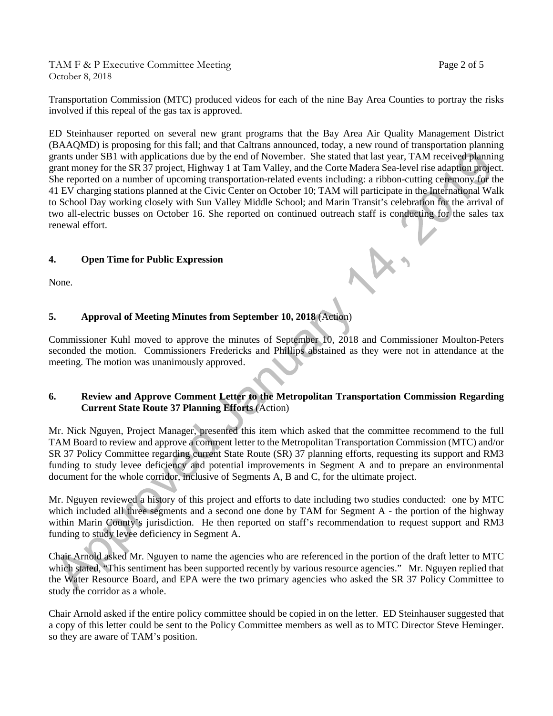TAM F & P Executive Committee Meeting Page 2 of 5 October 8, 2018

Transportation Commission (MTC) produced videos for each of the nine Bay Area Counties to portray the risks involved if this repeal of the gas tax is approved.

ED Steinhauser reported on several new grant programs that the Bay Area Air Quality Management District (BAAQMD) is proposing for this fall; and that Caltrans announced, today, a new round of transportation planning grants under SB1 with applications due by the end of November. She stated that last year, TAM received planning grant money for the SR 37 project, Highway 1 at Tam Valley, and the Corte Madera Sea-level rise adaption project. She reported on a number of upcoming transportation-related events including: a ribbon-cutting ceremony for the 41 EV charging stations planned at the Civic Center on October 10; TAM will participate in the International Walk to School Day working closely with Sun Valley Middle School; and Marin Transit's celebration for the arrival of two all-electric busses on October 16. She reported on continued outreach staff is conducting for the sales tax renewal effort.

## **4. Open Time for Public Expression**

None.

# **5. Approval of Meeting Minutes from September 10, 2018** (Action)

Commissioner Kuhl moved to approve the minutes of September 10, 2018 and Commissioner Moulton-Peters seconded the motion. Commissioners Fredericks and Phillips abstained as they were not in attendance at the meeting. The motion was unanimously approved.

#### **6. Review and Approve Comment Letter to the Metropolitan Transportation Commission Regarding Current State Route 37 Planning Efforts** (Action)

Mr. Nick Nguyen, Project Manager, presented this item which asked that the committee recommend to the full TAM Board to review and approve a comment letter to the Metropolitan Transportation Commission (MTC) and/or SR 37 Policy Committee regarding current State Route (SR) 37 planning efforts, requesting its support and RM3 funding to study levee deficiency and potential improvements in Segment A and to prepare an environmental document for the whole corridor, inclusive of Segments A, B and C, for the ultimate project.

Mr. Nguyen reviewed a history of this project and efforts to date including two studies conducted: one by MTC which included all three segments and a second one done by TAM for Segment A - the portion of the highway within Marin County's jurisdiction. He then reported on staff's recommendation to request support and RM3 funding to study levee deficiency in Segment A.

Chair Arnold asked Mr. Nguyen to name the agencies who are referenced in the portion of the draft letter to MTC which stated, "This sentiment has been supported recently by various resource agencies." Mr. Nguyen replied that the Water Resource Board, and EPA were the two primary agencies who asked the SR 37 Policy Committee to study the corridor as a whole.

Chair Arnold asked if the entire policy committee should be copied in on the letter. ED Steinhauser suggested that a copy of this letter could be sent to the Policy Committee members as well as to MTC Director Steve Heminger. so they are aware of TAM's position.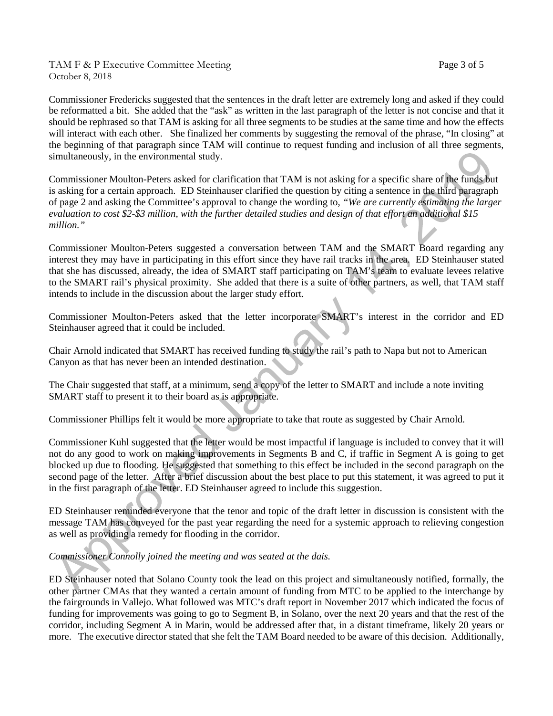TAM F & P Executive Committee Meeting TAM F & P Executive Committee Meeting October 8, 2018

Commissioner Fredericks suggested that the sentences in the draft letter are extremely long and asked if they could be reformatted a bit. She added that the "ask" as written in the last paragraph of the letter is not concise and that it should be rephrased so that TAM is asking for all three segments to be studies at the same time and how the effects will interact with each other. She finalized her comments by suggesting the removal of the phrase, "In closing" at the beginning of that paragraph since TAM will continue to request funding and inclusion of all three segments, simultaneously, in the environmental study.

Commissioner Moulton-Peters asked for clarification that TAM is not asking for a specific share of the funds but is asking for a certain approach. ED Steinhauser clarified the question by citing a sentence in the third paragraph of page 2 and asking the Committee's approval to change the wording to, *"We are currently estimating the larger evaluation to cost \$2-\$3 million, with the further detailed studies and design of that effort an additional \$15 million."*

Commissioner Moulton-Peters suggested a conversation between TAM and the SMART Board regarding any interest they may have in participating in this effort since they have rail tracks in the area. ED Steinhauser stated that she has discussed, already, the idea of SMART staff participating on TAM's team to evaluate levees relative to the SMART rail's physical proximity. She added that there is a suite of other partners, as well, that TAM staff intends to include in the discussion about the larger study effort.

Commissioner Moulton-Peters asked that the letter incorporate SMART's interest in the corridor and ED Steinhauser agreed that it could be included.

Chair Arnold indicated that SMART has received funding to study the rail's path to Napa but not to American Canyon as that has never been an intended destination.

The Chair suggested that staff, at a minimum, send a copy of the letter to SMART and include a note inviting SMART staff to present it to their board as is appropriate.

Commissioner Phillips felt it would be more appropriate to take that route as suggested by Chair Arnold.

Commissioner Kuhl suggested that the letter would be most impactful if language is included to convey that it will not do any good to work on making improvements in Segments B and C, if traffic in Segment A is going to get blocked up due to flooding. He suggested that something to this effect be included in the second paragraph on the second page of the letter. After a brief discussion about the best place to put this statement, it was agreed to put it in the first paragraph of the letter. ED Steinhauser agreed to include this suggestion.

ED Steinhauser reminded everyone that the tenor and topic of the draft letter in discussion is consistent with the message TAM has conveyed for the past year regarding the need for a systemic approach to relieving congestion as well as providing a remedy for flooding in the corridor.

#### *Commissioner Connolly joined the meeting and was seated at the dais.*

ED Steinhauser noted that Solano County took the lead on this project and simultaneously notified, formally, the other partner CMAs that they wanted a certain amount of funding from MTC to be applied to the interchange by the fairgrounds in Vallejo. What followed was MTC's draft report in November 2017 which indicated the focus of funding for improvements was going to go to Segment B, in Solano, over the next 20 years and that the rest of the corridor, including Segment A in Marin, would be addressed after that, in a distant timeframe, likely 20 years or more. The executive director stated that she felt the TAM Board needed to be aware of this decision. Additionally,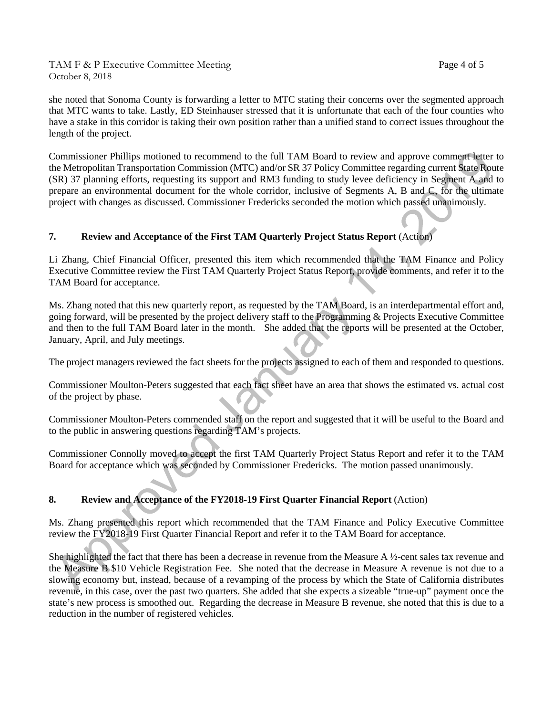TAM F & P Executive Committee Meeting Page 4 of 5 October 8, 2018

she noted that Sonoma County is forwarding a letter to MTC stating their concerns over the segmented approach that MTC wants to take. Lastly, ED Steinhauser stressed that it is unfortunate that each of the four counties who have a stake in this corridor is taking their own position rather than a unified stand to correct issues throughout the length of the project.

Commissioner Phillips motioned to recommend to the full TAM Board to review and approve comment letter to the Metropolitan Transportation Commission (MTC) and/or SR 37 Policy Committee regarding current State Route (SR) 37 planning efforts, requesting its support and RM3 funding to study levee deficiency in Segment A and to prepare an environmental document for the whole corridor, inclusive of Segments A, B and C, for the ultimate project with changes as discussed. Commissioner Fredericks seconded the motion which passed unanimously.

## **7. Review and Acceptance of the First TAM Quarterly Project Status Report** (Action)

Li Zhang, Chief Financial Officer, presented this item which recommended that the TAM Finance and Policy Executive Committee review the First TAM Quarterly Project Status Report, provide comments, and refer it to the TAM Board for acceptance.

Ms. Zhang noted that this new quarterly report, as requested by the TAM Board, is an interdepartmental effort and, going forward, will be presented by the project delivery staff to the Programming & Projects Executive Committee and then to the full TAM Board later in the month. She added that the reports will be presented at the October, January, April, and July meetings.

The project managers reviewed the fact sheets for the projects assigned to each of them and responded to questions.

Commissioner Moulton-Peters suggested that each fact sheet have an area that shows the estimated vs. actual cost of the project by phase.

Commissioner Moulton-Peters commended staff on the report and suggested that it will be useful to the Board and to the public in answering questions regarding TAM's projects.

Commissioner Connolly moved to accept the first TAM Quarterly Project Status Report and refer it to the TAM Board for acceptance which was seconded by Commissioner Fredericks. The motion passed unanimously.

#### **8. Review and Acceptance of the FY2018-19 First Quarter Financial Report** (Action)

Ms. Zhang presented this report which recommended that the TAM Finance and Policy Executive Committee review the FY2018-19 First Quarter Financial Report and refer it to the TAM Board for acceptance.

She highlighted the fact that there has been a decrease in revenue from the Measure A ½-cent sales tax revenue and the Measure B \$10 Vehicle Registration Fee. She noted that the decrease in Measure A revenue is not due to a slowing economy but, instead, because of a revamping of the process by which the State of California distributes revenue, in this case, over the past two quarters. She added that she expects a sizeable "true-up" payment once the state's new process is smoothed out. Regarding the decrease in Measure B revenue, she noted that this is due to a reduction in the number of registered vehicles.